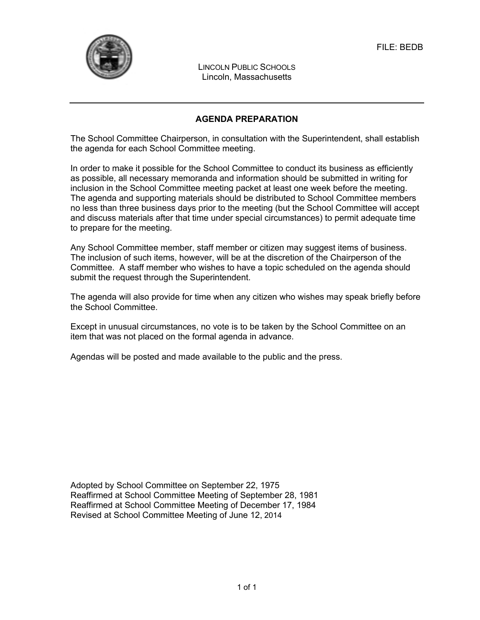

LINCOLN PUBLIC SCHOOLS Lincoln, Massachusetts

## **AGENDA PREPARATION**

The School Committee Chairperson, in consultation with the Superintendent, shall establish the agenda for each School Committee meeting.

In order to make it possible for the School Committee to conduct its business as efficiently as possible, all necessary memoranda and information should be submitted in writing for inclusion in the School Committee meeting packet at least one week before the meeting. The agenda and supporting materials should be distributed to School Committee members no less than three business days prior to the meeting (but the School Committee will accept and discuss materials after that time under special circumstances) to permit adequate time to prepare for the meeting.

Any School Committee member, staff member or citizen may suggest items of business. The inclusion of such items, however, will be at the discretion of the Chairperson of the Committee. A staff member who wishes to have a topic scheduled on the agenda should submit the request through the Superintendent.

The agenda will also provide for time when any citizen who wishes may speak briefly before the School Committee.

Except in unusual circumstances, no vote is to be taken by the School Committee on an item that was not placed on the formal agenda in advance.

Agendas will be posted and made available to the public and the press.

Adopted by School Committee on September 22, 1975 Reaffirmed at School Committee Meeting of September 28, 1981 Reaffirmed at School Committee Meeting of December 17, 1984 Revised at School Committee Meeting of June 12, 2014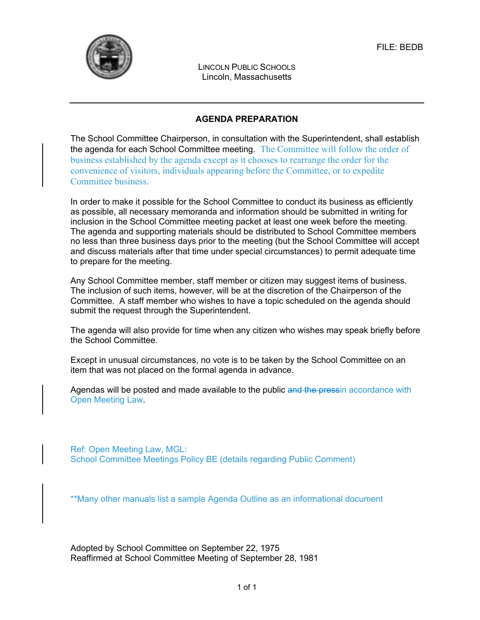

LINCOLN PUBLIC SCHOOLS Lincoln, Massachusetts

## **AGENDA PREPARATION**

The School Committee Chairperson, in consultation with the Superintendent, shall establish the agenda for each School Committee meeting. The Committee will follow the order of business established by the agenda except as it chooses to rearrange the order for the convenience of visitors, individuals appearing before the Committee, or to expedite Committee business.

In order to make it possible for the School Committee to conduct its business as efficiently as possible, all necessary memoranda and information should be submitted in writing for inclusion in the School Committee meeting packet at least one week before the meeting. The agenda and supporting materials should be distributed to School Committee members no less than three business days prior to the meeting (but the School Committee will accept and discuss materials after that time under special circumstances) to permit adequate time to prepare for the meeting.

Any School Committee member, staff member or citizen may suggest items of business. The inclusion of such items, however, will be at the discretion of the Chairperson of the Committee. A staff member who wishes to have a topic scheduled on the agenda should submit the request through the Superintendent.

The agenda will also provide for time when any citizen who wishes may speak briefly before the School Committee.

Except in unusual circumstances, no vote is to be taken by the School Committee on an item that was not placed on the formal agenda in advance.

Agendas will be posted and made available to the public and the pressin accordance with Open Meeting Law.

Ref: Open Meeting Law, MGL: School Committee Meetings Policy BE (details regarding Public Comment)

\*\*Many other manuals list a sample Agenda Outline as an informational document

Adopted by School Committee on September 22, 1975 Reaffirmed at School Committee Meeting of September 28, 1981